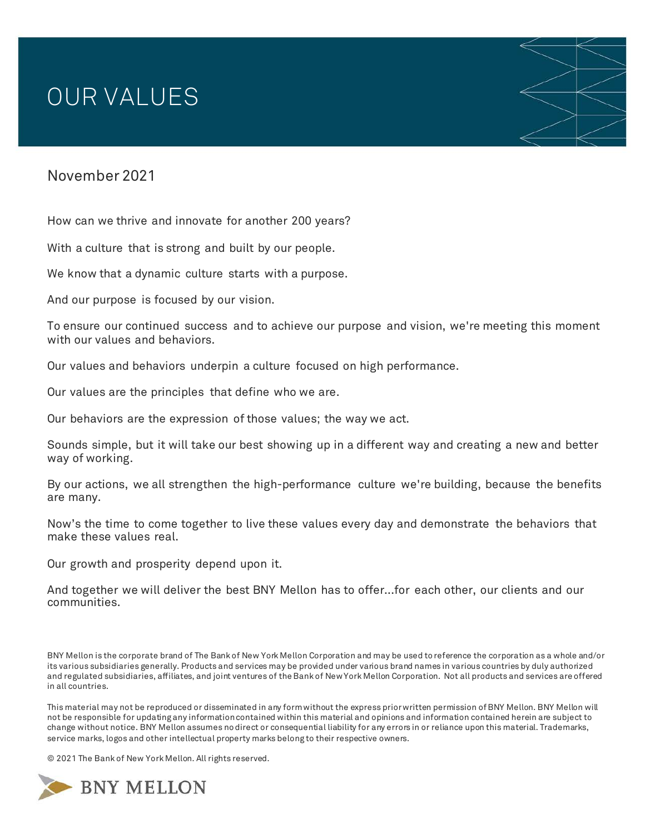## OUR VALUES

## November 2021

How can we thrive and innovate for another 200 years?

With a culture that is strong and built by our people.

We know that a dynamic culture starts with a purpose.

And our purpose is focused by our vision.

To ensure our continued success and to achieve our purpose and vision, we're meeting this moment with our values and behaviors.

Our values and behaviors underpin a culture focused on high performance.

Our values are the principles that define who we are.

Our behaviors are the expression of those values; the way we act.

Sounds simple, but it will take our best showing up in a different way and creating a new and better way of working.

By our actions, we all strengthen the high-performance culture we're building, because the benefits are many.

Now's the time to come together to live these values every day and demonstrate the behaviors that make these values real.

Our growth and prosperity depend upon it.

And together we will deliver the best BNY Mellon has to offer...for each other, our clients and our communities.

BNY Mellon is the corporate brand of The Bank of New York Mellon Corporation and may be used to reference the corporation as a whole and/or its various subsidiaries generally. Products and services may be provided under various brand names in various countries by duly authorized and regulated subsidiaries, affiliates, and joint ventures of the Bank of New York Mellon Corporation. Not all products and services are offered in all countries.

This material may not be reproduced or disseminated in any form without the express prior written permission of BNY Mellon. BNY Mellon will not be responsible for updating any information contained within this material and opinions and information contained herein are subject to change without notice. BNY Mellon assumes no direct or consequential liability for any errors in or reliance upon this material. Trademarks, service marks, logos and other intellectual property marks belong to their respective owners.

© 2021 The Bank of New York Mellon. All rights reserved.